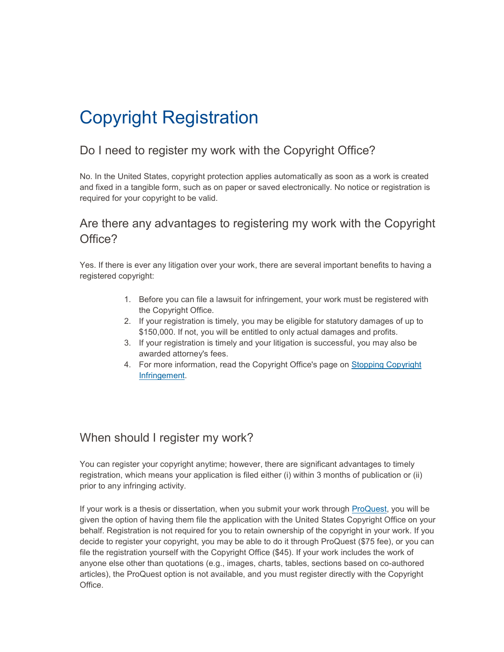# Copyright Registration

### Do I need to register my work with the Copyright Office?

No. In the United States, copyright protection applies automatically as soon as a work is created and fixed in a tangible form, such as on paper or saved electronically. No notice or registration is required for your copyright to be valid.

## Are there any advantages to registering my work with the Copyright Office?

Yes. If there is ever any litigation over your work, there are several important benefits to having a registered copyright:

- 1. Before you can file a lawsuit for infringement, your work must be registered with the Copyright Office.
- 2. If your registration is timely, you may be eligible for statutory damages of up to \$150,000. If not, you will be entitled to only actual damages and profits.
- 3. If your registration is timely and your litigation is successful, you may also be awarded attorney's fees.
- 4. For more information, read the Copyright Office's page on [Stopping Copyright](http://copyright.gov/help/faq/faq-infringement.html)  [Infringement.](http://copyright.gov/help/faq/faq-infringement.html)

### When should I register my work?

You can register your copyright anytime; however, there are significant advantages to timely registration, which means your application is filed either (i) within 3 months of publication or (ii) prior to any infringing activity.

If your work is a thesis or dissertation, when you submit your work through [ProQuest,](http://www.etdadmin.com/cgi-bin/school?siteId=163) you will be given the option of having them file the application with the United States Copyright Office on your behalf. Registration is not required for you to retain ownership of the copyright in your work. If you decide to register your copyright, you may be able to do it through ProQuest (\$75 fee), or you can file the registration yourself with the Copyright Office (\$45). If your work includes the work of anyone else other than quotations (e.g., images, charts, tables, sections based on co-authored articles), the ProQuest option is not available, and you must register directly with the Copyright Office.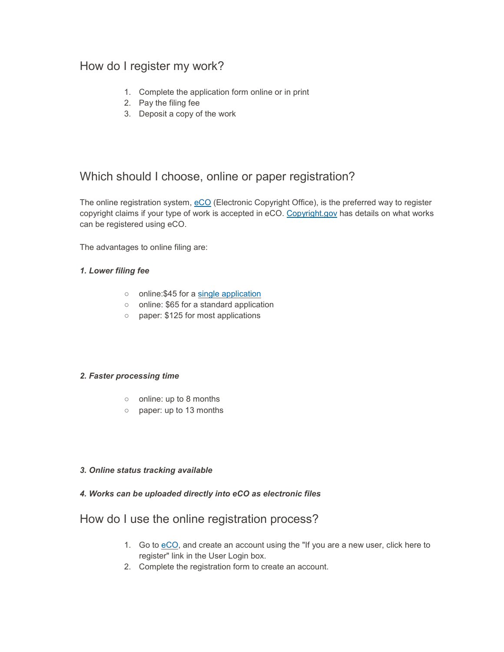### How do I register my work?

- 1. Complete the application form online or in print
- 2. Pay the filing fee
- 3. Deposit a copy of the work

### Which should I choose, online or paper registration?

The online registration system, [eCO](http://copyright.gov/eco/) (Electronic Copyright Office), is the preferred way to register copyright claims if your type of work is accepted in eCO. [Copyright.gov](http://www.copyright.gov/eco/help/#eCO_1) has details on what works can be registered using eCO.

The advantages to online filing are:

### *1. Lower filing fee*

- o online: \$45 for a [single application](http://www.copyright.gov/fls/sl04s.pdf)
- online: \$65 for a standard application
- paper: \$125 for most applications

### *2. Faster processing time*

- online: up to 8 months
- paper: up to 13 months

#### *3. Online status tracking available*

### *4. Works can be uploaded directly into eCO as electronic files*

### How do I use the online registration process?

- 1. Go to [eCO,](https://eco.copyright.gov/eService_enu/) and create an account using the "If you are a new user, click here to register" link in the User Login box.
- 2. Complete the registration form to create an account.